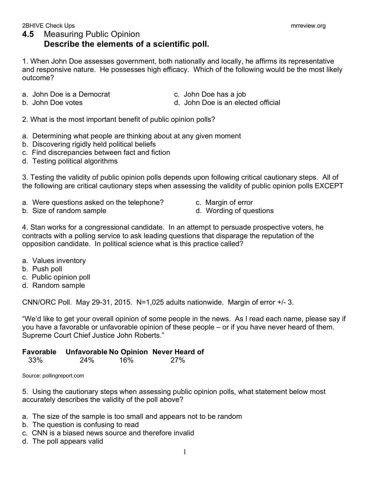1. When John Doe assesses government, both nationally and locally, he affirms its representative and responsive nature. He possesses high efficacy. Which of the following would be the most likely outcome?

- a. John Doe is a Democrat c. John Doe has a job
	-
- 
- b. John Doe votes **d. John Doe is an elected official**
- 2. What is the most important benefit of public opinion polls?
- a. Determining what people are thinking about at any given moment
- b. Discovering rigidly held political beliefs
- c. Find discrepancies between fact and fiction
- d. Testing political algorithms

3. Testing the validity of public opinion polls depends upon following critical cautionary steps. All of the following are critical cautionary steps when assessing the validity of public opinion polls EXCEPT

- a. Were questions asked on the telephone? c. Margin of error
- b. Size of random sample b. Size of random sample
- 
- 

4. Stan works for a congressional candidate. In an attempt to persuade prospective voters, he contracts with a polling service to ask leading questions that disparage the reputation of the opposition candidate. In political science what is this practice called?

- a. Values inventory
- b. Push poll
- c. Public opinion poll
- d. Random sample

CNN/ORC Poll. May 29-31, 2015. N=1,025 adults nationwide. Margin of error +/- 3.

"We'd like to get your overall opinion of some people in the news. As I read each name, please say if you have a favorable or unfavorable opinion of these people – or if you have never heard of them. Supreme Court Chief Justice John Roberts."

## **Favorable Unfavorable No Opinion Never Heard of**

| 33% | 24% | 16% | 27% |
|-----|-----|-----|-----|
|     |     |     |     |

Source: pollingreport.com

5. Using the cautionary steps when assessing public opinion polls, what statement below most accurately describes the validity of the poll above?

- a. The size of the sample is too small and appears not to be random
- b. The question is confusing to read
- c. CNN is a biased news source and therefore invalid
- d. The poll appears valid